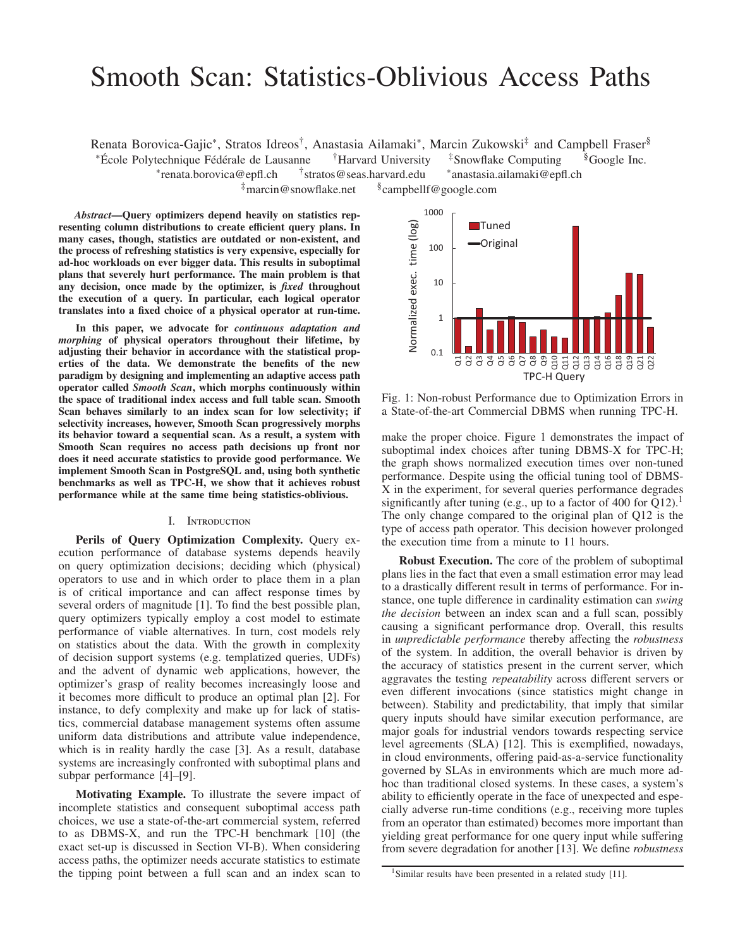# Smooth Scan: Statistics-Oblivious Access Paths

Renata Borovica-Gajic<sup>∗</sup>, Stratos Idreos<sup>†</sup>, Anastasia Ailamaki<sup>∗</sup>, Marcin Zukowski<sup>‡</sup> and Campbell Fraser<sup>§</sup>

\*École Polytechnique Fédérale de Lausanne <sup>†</sup>Harvard University <sup>‡</sup>Snowflake Computing <sup>§</sup>Google Inc. ∗renata.borovica@epfl.ch †stratos@seas.harvard.edu ∗anastasia.ailamaki@epfl.ch

 $\frac{1}{2}$ marcin@snowflake.net  $\frac{1}{2}$ campbellf@google.com

*Abstract*—Query optimizers depend heavily on statistics representing column distributions to create efficient query plans. In many cases, though, statistics are outdated or non-existent, and the process of refreshing statistics is very expensive, especially for ad-hoc workloads on ever bigger data. This results in suboptimal plans that severely hurt performance. The main problem is that any decision, once made by the optimizer, is *fixed* throughout the execution of a query. In particular, each logical operator translates into a fixed choice of a physical operator at run-time.

In this paper, we advocate for *continuous adaptation and morphing* of physical operators throughout their lifetime, by adjusting their behavior in accordance with the statistical properties of the data. We demonstrate the benefits of the new paradigm by designing and implementing an adaptive access path operator called *Smooth Scan*, which morphs continuously within the space of traditional index access and full table scan. Smooth Scan behaves similarly to an index scan for low selectivity; if selectivity increases, however, Smooth Scan progressively morphs its behavior toward a sequential scan. As a result, a system with Smooth Scan requires no access path decisions up front nor does it need accurate statistics to provide good performance. We implement Smooth Scan in PostgreSQL and, using both synthetic benchmarks as well as TPC-H, we show that it achieves robust performance while at the same time being statistics-oblivious.

#### I. Introduction

Perils of Query Optimization Complexity. Query execution performance of database systems depends heavily on query optimization decisions; deciding which (physical) operators to use and in which order to place them in a plan is of critical importance and can affect response times by several orders of magnitude [1]. To find the best possible plan, query optimizers typically employ a cost model to estimate performance of viable alternatives. In turn, cost models rely on statistics about the data. With the growth in complexity of decision support systems (e.g. templatized queries, UDFs) and the advent of dynamic web applications, however, the optimizer's grasp of reality becomes increasingly loose and it becomes more difficult to produce an optimal plan [2]. For instance, to defy complexity and make up for lack of statistics, commercial database management systems often assume uniform data distributions and attribute value independence, which is in reality hardly the case [3]. As a result, database systems are increasingly confronted with suboptimal plans and subpar performance [4]–[9].

Motivating Example. To illustrate the severe impact of incomplete statistics and consequent suboptimal access path choices, we use a state-of-the-art commercial system, referred to as DBMS-X, and run the TPC-H benchmark [10] (the exact set-up is discussed in Section VI-B). When considering access paths, the optimizer needs accurate statistics to estimate the tipping point between a full scan and an index scan to



Fig. 1: Non-robust Performance due to Optimization Errors in a State-of-the-art Commercial DBMS when running TPC-H.

make the proper choice. Figure 1 demonstrates the impact of suboptimal index choices after tuning DBMS-X for TPC-H; the graph shows normalized execution times over non-tuned performance. Despite using the official tuning tool of DBMS-X in the experiment, for several queries performance degrades significantly after tuning (e.g., up to a factor of 400 for  $Q12$ ).<sup>1</sup> The only change compared to the original plan of Q12 is the type of access path operator. This decision however prolonged the execution time from a minute to 11 hours.

Robust Execution. The core of the problem of suboptimal plans lies in the fact that even a small estimation error may lead to a drastically different result in terms of performance. For instance, one tuple difference in cardinality estimation can *swing the decision* between an index scan and a full scan, possibly causing a significant performance drop. Overall, this results in *unpredictable performance* thereby affecting the *robustness* of the system. In addition, the overall behavior is driven by the accuracy of statistics present in the current server, which aggravates the testing *repeatability* across different servers or even different invocations (since statistics might change in between). Stability and predictability, that imply that similar query inputs should have similar execution performance, are major goals for industrial vendors towards respecting service level agreements (SLA) [12]. This is exemplified, nowadays, in cloud environments, offering paid-as-a-service functionality governed by SLAs in environments which are much more adhoc than traditional closed systems. In these cases, a system's ability to efficiently operate in the face of unexpected and especially adverse run-time conditions (e.g., receiving more tuples from an operator than estimated) becomes more important than yielding great performance for one query input while suffering from severe degradation for another [13]. We define *robustness*

<sup>&</sup>lt;sup>1</sup>Similar results have been presented in a related study [11].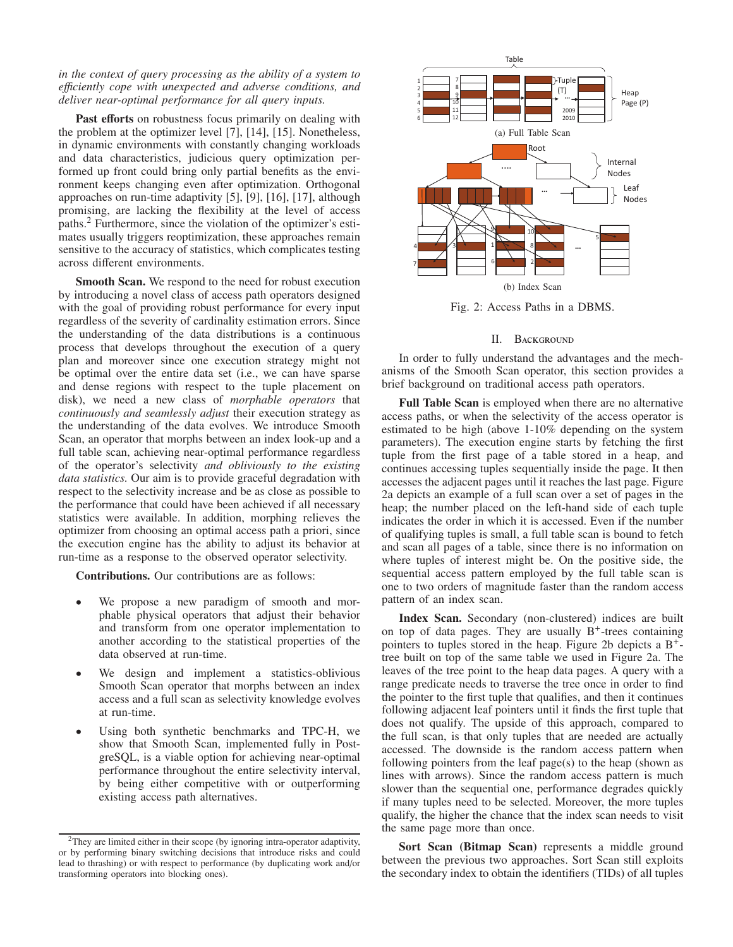# *in the context of query processing as the ability of a system to e*ffi*ciently cope with unexpected and adverse conditions, and deliver near-optimal performance for all query inputs.*

Past efforts on robustness focus primarily on dealing with the problem at the optimizer level [7], [14], [15]. Nonetheless, in dynamic environments with constantly changing workloads and data characteristics, judicious query optimization performed up front could bring only partial benefits as the environment keeps changing even after optimization. Orthogonal approaches on run-time adaptivity [5], [9], [16], [17], although promising, are lacking the flexibility at the level of access paths.<sup>2</sup> Furthermore, since the violation of the optimizer's estimates usually triggers reoptimization, these approaches remain sensitive to the accuracy of statistics, which complicates testing across different environments.

Smooth Scan. We respond to the need for robust execution by introducing a novel class of access path operators designed with the goal of providing robust performance for every input regardless of the severity of cardinality estimation errors. Since the understanding of the data distributions is a continuous process that develops throughout the execution of a query plan and moreover since one execution strategy might not be optimal over the entire data set (i.e., we can have sparse and dense regions with respect to the tuple placement on disk), we need a new class of *morphable operators* that *continuously and seamlessly adjust* their execution strategy as the understanding of the data evolves. We introduce Smooth Scan, an operator that morphs between an index look-up and a full table scan, achieving near-optimal performance regardless of the operator's selectivity *and obliviously to the existing data statistics.* Our aim is to provide graceful degradation with respect to the selectivity increase and be as close as possible to the performance that could have been achieved if all necessary statistics were available. In addition, morphing relieves the optimizer from choosing an optimal access path a priori, since the execution engine has the ability to adjust its behavior at run-time as a response to the observed operator selectivity.

Contributions. Our contributions are as follows:

- We propose a new paradigm of smooth and morphable physical operators that adjust their behavior and transform from one operator implementation to another according to the statistical properties of the data observed at run-time.
- We design and implement a statistics-oblivious Smooth Scan operator that morphs between an index access and a full scan as selectivity knowledge evolves at run-time.
- Using both synthetic benchmarks and TPC-H, we show that Smooth Scan, implemented fully in PostgreSQL, is a viable option for achieving near-optimal performance throughout the entire selectivity interval, by being either competitive with or outperforming existing access path alternatives.



Fig. 2: Access Paths in a DBMS.

#### II. Background

In order to fully understand the advantages and the mechanisms of the Smooth Scan operator, this section provides a brief background on traditional access path operators.

Full Table Scan is employed when there are no alternative access paths, or when the selectivity of the access operator is estimated to be high (above 1-10% depending on the system parameters). The execution engine starts by fetching the first tuple from the first page of a table stored in a heap, and continues accessing tuples sequentially inside the page. It then accesses the adjacent pages until it reaches the last page. Figure 2a depicts an example of a full scan over a set of pages in the heap; the number placed on the left-hand side of each tuple indicates the order in which it is accessed. Even if the number of qualifying tuples is small, a full table scan is bound to fetch and scan all pages of a table, since there is no information on where tuples of interest might be. On the positive side, the sequential access pattern employed by the full table scan is one to two orders of magnitude faster than the random access pattern of an index scan.

Index Scan. Secondary (non-clustered) indices are built on top of data pages. They are usually  $B^+$ -trees containing pointers to tuples stored in the heap. Figure 2b depicts a B+ tree built on top of the same table we used in Figure 2a. The leaves of the tree point to the heap data pages. A query with a range predicate needs to traverse the tree once in order to find the pointer to the first tuple that qualifies, and then it continues following adjacent leaf pointers until it finds the first tuple that does not qualify. The upside of this approach, compared to the full scan, is that only tuples that are needed are actually accessed. The downside is the random access pattern when following pointers from the leaf page(s) to the heap (shown as lines with arrows). Since the random access pattern is much slower than the sequential one, performance degrades quickly if many tuples need to be selected. Moreover, the more tuples qualify, the higher the chance that the index scan needs to visit the same page more than once.

Sort Scan (Bitmap Scan) represents a middle ground between the previous two approaches. Sort Scan still exploits the secondary index to obtain the identifiers (TIDs) of all tuples

 $2$ They are limited either in their scope (by ignoring intra-operator adaptivity, or by performing binary switching decisions that introduce risks and could lead to thrashing) or with respect to performance (by duplicating work and/or transforming operators into blocking ones).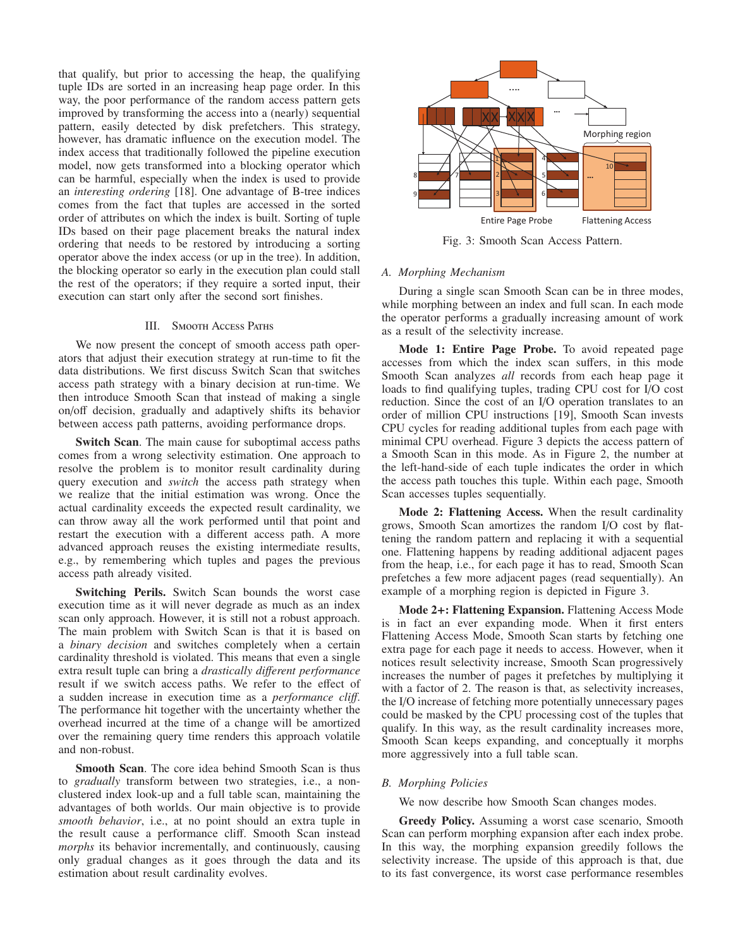that qualify, but prior to accessing the heap, the qualifying tuple IDs are sorted in an increasing heap page order. In this way, the poor performance of the random access pattern gets improved by transforming the access into a (nearly) sequential pattern, easily detected by disk prefetchers. This strategy, however, has dramatic influence on the execution model. The index access that traditionally followed the pipeline execution model, now gets transformed into a blocking operator which can be harmful, especially when the index is used to provide an *interesting ordering* [18]. One advantage of B-tree indices comes from the fact that tuples are accessed in the sorted order of attributes on which the index is built. Sorting of tuple IDs based on their page placement breaks the natural index ordering that needs to be restored by introducing a sorting operator above the index access (or up in the tree). In addition, the blocking operator so early in the execution plan could stall the rest of the operators; if they require a sorted input, their execution can start only after the second sort finishes.

# III. Smooth Access Paths

We now present the concept of smooth access path operators that adjust their execution strategy at run-time to fit the data distributions. We first discuss Switch Scan that switches access path strategy with a binary decision at run-time. We then introduce Smooth Scan that instead of making a single on/off decision, gradually and adaptively shifts its behavior between access path patterns, avoiding performance drops.

Switch Scan. The main cause for suboptimal access paths comes from a wrong selectivity estimation. One approach to resolve the problem is to monitor result cardinality during query execution and *switch* the access path strategy when we realize that the initial estimation was wrong. Once the actual cardinality exceeds the expected result cardinality, we can throw away all the work performed until that point and restart the execution with a different access path. A more advanced approach reuses the existing intermediate results, e.g., by remembering which tuples and pages the previous access path already visited.

Switching Perils. Switch Scan bounds the worst case execution time as it will never degrade as much as an index scan only approach. However, it is still not a robust approach. The main problem with Switch Scan is that it is based on a *binary decision* and switches completely when a certain cardinality threshold is violated. This means that even a single extra result tuple can bring a *drastically di*ff*erent performance* result if we switch access paths. We refer to the effect of a sudden increase in execution time as a *performance cli*ff. The performance hit together with the uncertainty whether the overhead incurred at the time of a change will be amortized over the remaining query time renders this approach volatile and non-robust.

Smooth Scan. The core idea behind Smooth Scan is thus to *gradually* transform between two strategies, i.e., a nonclustered index look-up and a full table scan, maintaining the advantages of both worlds. Our main objective is to provide *smooth behavior*, i.e., at no point should an extra tuple in the result cause a performance cliff. Smooth Scan instead *morphs* its behavior incrementally, and continuously, causing only gradual changes as it goes through the data and its estimation about result cardinality evolves.



Fig. 3: Smooth Scan Access Pattern.

#### *A. Morphing Mechanism*

During a single scan Smooth Scan can be in three modes, while morphing between an index and full scan. In each mode the operator performs a gradually increasing amount of work as a result of the selectivity increase.

Mode 1: Entire Page Probe. To avoid repeated page accesses from which the index scan suffers, in this mode Smooth Scan analyzes *all* records from each heap page it loads to find qualifying tuples, trading CPU cost for I/O cost reduction. Since the cost of an I/O operation translates to an order of million CPU instructions [19], Smooth Scan invests CPU cycles for reading additional tuples from each page with minimal CPU overhead. Figure 3 depicts the access pattern of a Smooth Scan in this mode. As in Figure 2, the number at the left-hand-side of each tuple indicates the order in which the access path touches this tuple. Within each page, Smooth Scan accesses tuples sequentially.

Mode 2: Flattening Access. When the result cardinality grows, Smooth Scan amortizes the random I/O cost by flattening the random pattern and replacing it with a sequential one. Flattening happens by reading additional adjacent pages from the heap, i.e., for each page it has to read, Smooth Scan prefetches a few more adjacent pages (read sequentially). An example of a morphing region is depicted in Figure 3.

Mode 2+: Flattening Expansion. Flattening Access Mode is in fact an ever expanding mode. When it first enters Flattening Access Mode, Smooth Scan starts by fetching one extra page for each page it needs to access. However, when it notices result selectivity increase, Smooth Scan progressively increases the number of pages it prefetches by multiplying it with a factor of 2. The reason is that, as selectivity increases, the I/O increase of fetching more potentially unnecessary pages could be masked by the CPU processing cost of the tuples that qualify. In this way, as the result cardinality increases more, Smooth Scan keeps expanding, and conceptually it morphs more aggressively into a full table scan.

#### *B. Morphing Policies*

We now describe how Smooth Scan changes modes.

Greedy Policy. Assuming a worst case scenario, Smooth Scan can perform morphing expansion after each index probe. In this way, the morphing expansion greedily follows the selectivity increase. The upside of this approach is that, due to its fast convergence, its worst case performance resembles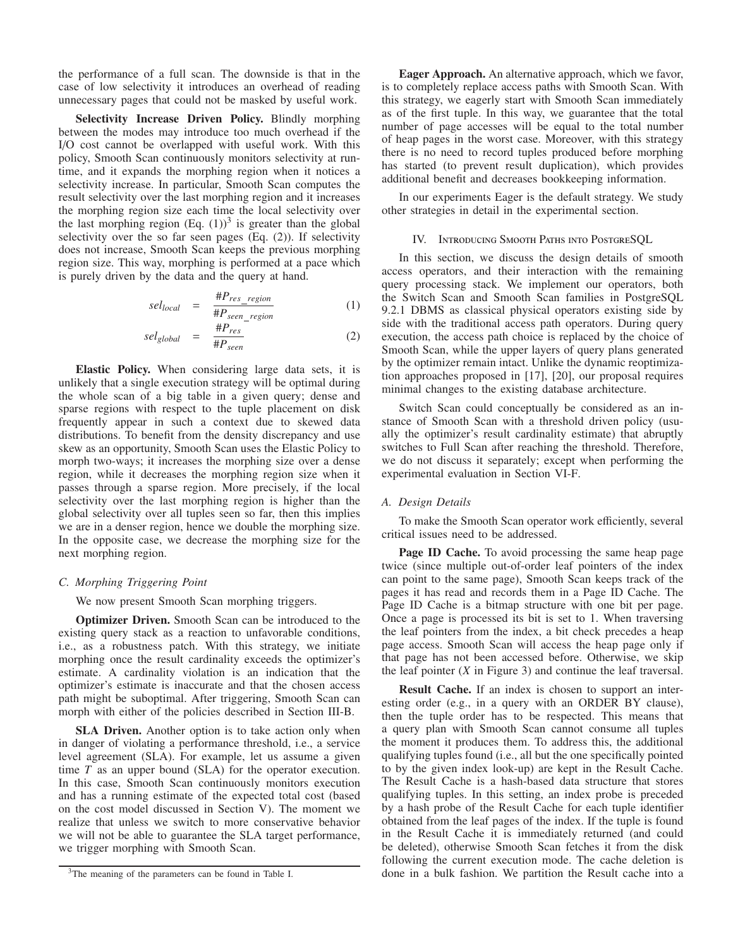the performance of a full scan. The downside is that in the case of low selectivity it introduces an overhead of reading unnecessary pages that could not be masked by useful work.

Selectivity Increase Driven Policy. Blindly morphing between the modes may introduce too much overhead if the I/O cost cannot be overlapped with useful work. With this policy, Smooth Scan continuously monitors selectivity at runtime, and it expands the morphing region when it notices a selectivity increase. In particular, Smooth Scan computes the result selectivity over the last morphing region and it increases the morphing region size each time the local selectivity over the last morphing region  $(Eq. (1))^3$  is greater than the global selectivity over the so far seen pages (Eq. (2)). If selectivity does not increase, Smooth Scan keeps the previous morphing region size. This way, morphing is performed at a pace which is purely driven by the data and the query at hand.

$$
sellocal = \frac{\#Pres\_region}{\#Pseen\_region} \tag{1}
$$

$$
sel_{global} = \frac{\#P_{res}}{\#P_{seen}} \tag{2}
$$

Elastic Policy. When considering large data sets, it is unlikely that a single execution strategy will be optimal during the whole scan of a big table in a given query; dense and sparse regions with respect to the tuple placement on disk frequently appear in such a context due to skewed data distributions. To benefit from the density discrepancy and use skew as an opportunity, Smooth Scan uses the Elastic Policy to morph two-ways; it increases the morphing size over a dense region, while it decreases the morphing region size when it passes through a sparse region. More precisely, if the local selectivity over the last morphing region is higher than the global selectivity over all tuples seen so far, then this implies we are in a denser region, hence we double the morphing size. In the opposite case, we decrease the morphing size for the next morphing region.

#### *C. Morphing Triggering Point*

We now present Smooth Scan morphing triggers.

Optimizer Driven. Smooth Scan can be introduced to the existing query stack as a reaction to unfavorable conditions, i.e., as a robustness patch. With this strategy, we initiate morphing once the result cardinality exceeds the optimizer's estimate. A cardinality violation is an indication that the optimizer's estimate is inaccurate and that the chosen access path might be suboptimal. After triggering, Smooth Scan can morph with either of the policies described in Section III-B.

SLA Driven. Another option is to take action only when in danger of violating a performance threshold, i.e., a service level agreement (SLA). For example, let us assume a given time *T* as an upper bound (SLA) for the operator execution. In this case, Smooth Scan continuously monitors execution and has a running estimate of the expected total cost (based on the cost model discussed in Section V). The moment we realize that unless we switch to more conservative behavior we will not be able to guarantee the SLA target performance, we trigger morphing with Smooth Scan.

Eager Approach. An alternative approach, which we favor, is to completely replace access paths with Smooth Scan. With this strategy, we eagerly start with Smooth Scan immediately as of the first tuple. In this way, we guarantee that the total number of page accesses will be equal to the total number of heap pages in the worst case. Moreover, with this strategy there is no need to record tuples produced before morphing has started (to prevent result duplication), which provides additional benefit and decreases bookkeeping information.

In our experiments Eager is the default strategy. We study other strategies in detail in the experimental section.

#### IV. Introducing Smooth Paths into PostgreSQL

In this section, we discuss the design details of smooth access operators, and their interaction with the remaining query processing stack. We implement our operators, both the Switch Scan and Smooth Scan families in PostgreSQL 9.2.1 DBMS as classical physical operators existing side by side with the traditional access path operators. During query execution, the access path choice is replaced by the choice of Smooth Scan, while the upper layers of query plans generated by the optimizer remain intact. Unlike the dynamic reoptimization approaches proposed in [17], [20], our proposal requires minimal changes to the existing database architecture.

Switch Scan could conceptually be considered as an instance of Smooth Scan with a threshold driven policy (usually the optimizer's result cardinality estimate) that abruptly switches to Full Scan after reaching the threshold. Therefore, we do not discuss it separately; except when performing the experimental evaluation in Section VI-F.

# *A. Design Details*

To make the Smooth Scan operator work efficiently, several critical issues need to be addressed.

Page ID Cache. To avoid processing the same heap page twice (since multiple out-of-order leaf pointers of the index can point to the same page), Smooth Scan keeps track of the pages it has read and records them in a Page ID Cache. The Page ID Cache is a bitmap structure with one bit per page. Once a page is processed its bit is set to 1. When traversing the leaf pointers from the index, a bit check precedes a heap page access. Smooth Scan will access the heap page only if that page has not been accessed before. Otherwise, we skip the leaf pointer (*X* in Figure 3) and continue the leaf traversal.

Result Cache. If an index is chosen to support an interesting order (e.g., in a query with an ORDER BY clause), then the tuple order has to be respected. This means that a query plan with Smooth Scan cannot consume all tuples the moment it produces them. To address this, the additional qualifying tuples found (i.e., all but the one specifically pointed to by the given index look-up) are kept in the Result Cache. The Result Cache is a hash-based data structure that stores qualifying tuples. In this setting, an index probe is preceded by a hash probe of the Result Cache for each tuple identifier obtained from the leaf pages of the index. If the tuple is found in the Result Cache it is immediately returned (and could be deleted), otherwise Smooth Scan fetches it from the disk following the current execution mode. The cache deletion is done in a bulk fashion. We partition the Result cache into a

<sup>&</sup>lt;sup>3</sup>The meaning of the parameters can be found in Table I.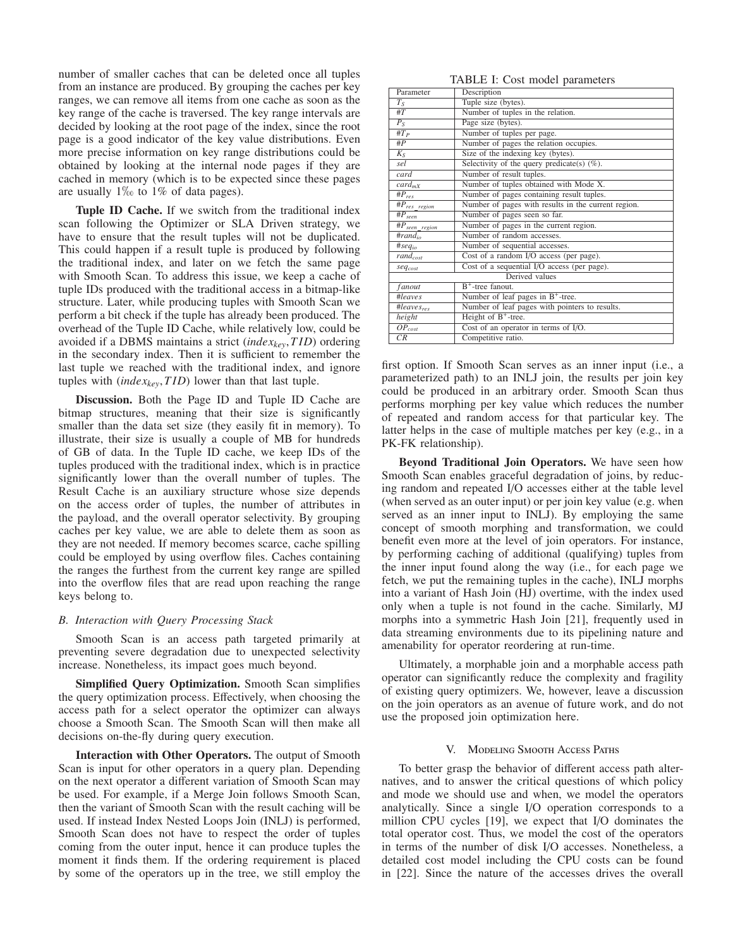number of smaller caches that can be deleted once all tuples from an instance are produced. By grouping the caches per key ranges, we can remove all items from one cache as soon as the key range of the cache is traversed. The key range intervals are decided by looking at the root page of the index, since the root page is a good indicator of the key value distributions. Even more precise information on key range distributions could be obtained by looking at the internal node pages if they are cached in memory (which is to be expected since these pages are usually  $1\%$  to  $1\%$  of data pages).

Tuple ID Cache. If we switch from the traditional index scan following the Optimizer or SLA Driven strategy, we have to ensure that the result tuples will not be duplicated. This could happen if a result tuple is produced by following the traditional index, and later on we fetch the same page with Smooth Scan. To address this issue, we keep a cache of tuple IDs produced with the traditional access in a bitmap-like structure. Later, while producing tuples with Smooth Scan we perform a bit check if the tuple has already been produced. The overhead of the Tuple ID Cache, while relatively low, could be avoided if a DBMS maintains a strict (*indexkey*,*TID*) ordering in the secondary index. Then it is sufficient to remember the last tuple we reached with the traditional index, and ignore tuples with  $(index_{kev},TID)$  lower than that last tuple.

Discussion. Both the Page ID and Tuple ID Cache are bitmap structures, meaning that their size is significantly smaller than the data set size (they easily fit in memory). To illustrate, their size is usually a couple of MB for hundreds of GB of data. In the Tuple ID cache, we keep IDs of the tuples produced with the traditional index, which is in practice significantly lower than the overall number of tuples. The Result Cache is an auxiliary structure whose size depends on the access order of tuples, the number of attributes in the payload, and the overall operator selectivity. By grouping caches per key value, we are able to delete them as soon as they are not needed. If memory becomes scarce, cache spilling could be employed by using overflow files. Caches containing the ranges the furthest from the current key range are spilled into the overflow files that are read upon reaching the range keys belong to.

#### *B. Interaction with Query Processing Stack*

Smooth Scan is an access path targeted primarily at preventing severe degradation due to unexpected selectivity increase. Nonetheless, its impact goes much beyond.

Simplified Query Optimization. Smooth Scan simplifies the query optimization process. Effectively, when choosing the access path for a select operator the optimizer can always choose a Smooth Scan. The Smooth Scan will then make all decisions on-the-fly during query execution.

Interaction with Other Operators. The output of Smooth Scan is input for other operators in a query plan. Depending on the next operator a different variation of Smooth Scan may be used. For example, if a Merge Join follows Smooth Scan, then the variant of Smooth Scan with the result caching will be used. If instead Index Nested Loops Join (INLJ) is performed, Smooth Scan does not have to respect the order of tuples coming from the outer input, hence it can produce tuples the moment it finds them. If the ordering requirement is placed by some of the operators up in the tree, we still employ the

|  |  |  |  |  |  | TABLE I: Cost model parameters |
|--|--|--|--|--|--|--------------------------------|
|--|--|--|--|--|--|--------------------------------|

| Parameter                         | Description                                         |  |  |  |  |
|-----------------------------------|-----------------------------------------------------|--|--|--|--|
| $T_S$                             | Tuple size (bytes).                                 |  |  |  |  |
| #T                                | Number of tuples in the relation.                   |  |  |  |  |
| $P_{S}$                           | Page size (bytes).                                  |  |  |  |  |
| $#T_P$                            | Number of tuples per page.                          |  |  |  |  |
| #P                                | Number of pages the relation occupies.              |  |  |  |  |
| $K_S$                             | Size of the indexing key (bytes).                   |  |  |  |  |
| sel                               | Selectivity of the query predicate(s) $(\%)$ .      |  |  |  |  |
| card                              | Number of result tuples.                            |  |  |  |  |
| $card_{mX}$                       | Number of tuples obtained with Mode X.              |  |  |  |  |
| # $P_{res}$                       | Number of pages containing result tuples.           |  |  |  |  |
| $\overline{H}P_{res\_region}$     | Number of pages with results in the current region. |  |  |  |  |
| $\#P_{seen}$                      | Number of pages seen so far.                        |  |  |  |  |
| $\overline{^{#P}}_{seen\_region}$ | Number of pages in the current region.              |  |  |  |  |
| #rand <sub>io</sub>               | Number of random accesses.                          |  |  |  |  |
| $#seq_{io}$                       | Number of sequential accesses.                      |  |  |  |  |
| $rand_{cost}$                     | Cost of a random I/O access (per page).             |  |  |  |  |
| $seq_{cost}$                      | Cost of a sequential I/O access (per page).         |  |  |  |  |
|                                   | Derived values                                      |  |  |  |  |
| fanout                            | $B^+$ -tree fanout.                                 |  |  |  |  |
| #leaves                           | Number of leaf pages in B <sup>+</sup> -tree.       |  |  |  |  |
| $\#leaves_{res}$                  | Number of leaf pages with pointers to results.      |  |  |  |  |
| height                            | Height of B <sup>+</sup> -tree.                     |  |  |  |  |
| $\overline{OP}_{cost}$            | Cost of an operator in terms of I/O.                |  |  |  |  |
| CR                                | Competitive ratio.                                  |  |  |  |  |

first option. If Smooth Scan serves as an inner input (i.e., a parameterized path) to an INLJ join, the results per join key could be produced in an arbitrary order. Smooth Scan thus performs morphing per key value which reduces the number of repeated and random access for that particular key. The latter helps in the case of multiple matches per key (e.g., in a PK-FK relationship).

Beyond Traditional Join Operators. We have seen how Smooth Scan enables graceful degradation of joins, by reducing random and repeated I/O accesses either at the table level (when served as an outer input) or per join key value (e.g. when served as an inner input to INLJ). By employing the same concept of smooth morphing and transformation, we could benefit even more at the level of join operators. For instance, by performing caching of additional (qualifying) tuples from the inner input found along the way (i.e., for each page we fetch, we put the remaining tuples in the cache), INLJ morphs into a variant of Hash Join (HJ) overtime, with the index used only when a tuple is not found in the cache. Similarly, MJ morphs into a symmetric Hash Join [21], frequently used in data streaming environments due to its pipelining nature and amenability for operator reordering at run-time.

Ultimately, a morphable join and a morphable access path operator can significantly reduce the complexity and fragility of existing query optimizers. We, however, leave a discussion on the join operators as an avenue of future work, and do not use the proposed join optimization here.

#### V. Modeling Smooth Access Paths

To better grasp the behavior of different access path alternatives, and to answer the critical questions of which policy and mode we should use and when, we model the operators analytically. Since a single I/O operation corresponds to a million CPU cycles [19], we expect that I/O dominates the total operator cost. Thus, we model the cost of the operators in terms of the number of disk I/O accesses. Nonetheless, a detailed cost model including the CPU costs can be found in [22]. Since the nature of the accesses drives the overall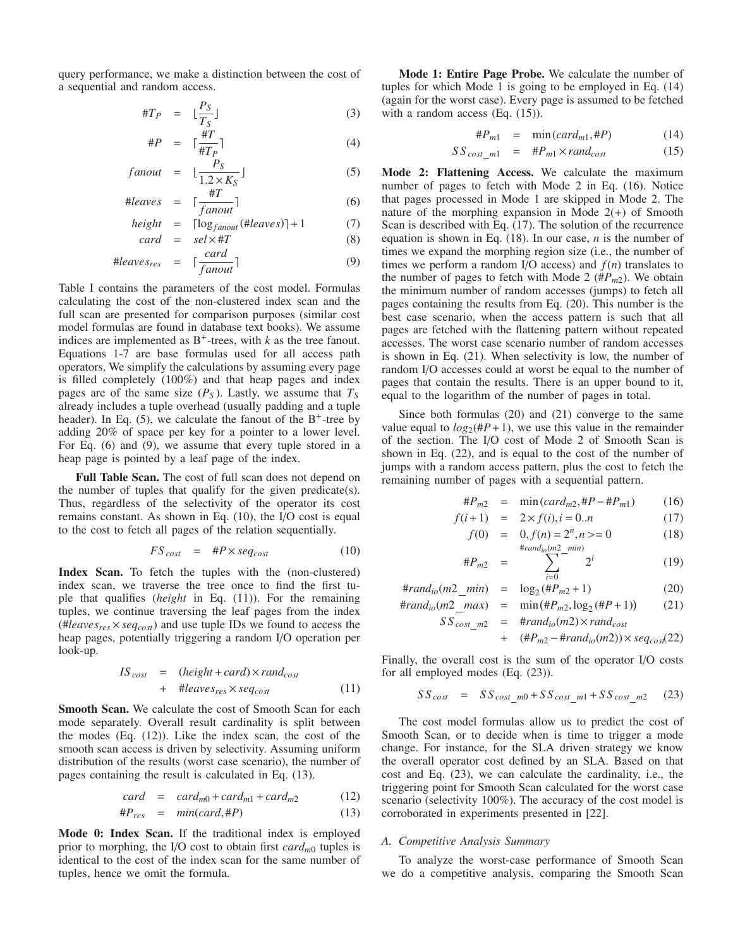query performance, we make a distinction between the cost of a sequential and random access.

$$
\#T_P = \lfloor \frac{P_S}{T_S} \rfloor \tag{3}
$$

$$
\#P = \lceil \frac{\#T}{\#T_P} \rceil \tag{4}
$$

$$
fanout = \lfloor \frac{P_S}{1.2 \times K_S} \rfloor \tag{5}
$$

$$
\#leaves = \lceil \frac{\#T}{fanout} \rceil \tag{6}
$$

$$
height = \lceil \log_{fanout}(\#leaves) \rceil + 1 \tag{7}
$$

$$
card = sel \times \#T \tag{8}
$$

$$
\#leaves_{res} = \lceil \frac{card}{fanout} \rceil \tag{9}
$$

Table I contains the parameters of the cost model. Formulas calculating the cost of the non-clustered index scan and the full scan are presented for comparison purposes (similar cost model formulas are found in database text books). We assume indices are implemented as  $B^+$ -trees, with  $k$  as the tree fanout. Equations 1-7 are base formulas used for all access path operators. We simplify the calculations by assuming every page is filled completely (100%) and that heap pages and index pages are of the same size  $(P<sub>S</sub>)$ . Lastly, we assume that  $T<sub>S</sub>$ already includes a tuple overhead (usually padding and a tuple header). In Eq.  $(5)$ , we calculate the fanout of the B<sup>+</sup>-tree by adding 20% of space per key for a pointer to a lower level. For Eq. (6) and (9), we assume that every tuple stored in a heap page is pointed by a leaf page of the index.

Full Table Scan. The cost of full scan does not depend on the number of tuples that qualify for the given predicate(s). Thus, regardless of the selectivity of the operator its cost remains constant. As shown in Eq. (10), the I/O cost is equal to the cost to fetch all pages of the relation sequentially.

$$
FS_{cost} = #P \times seq_{cost} \tag{10}
$$

Index Scan. To fetch the tuples with the (non-clustered) index scan, we traverse the tree once to find the first tuple that qualifies (*height* in Eq. (11)). For the remaining tuples, we continue traversing the leaf pages from the index ( $\#leaves_{res} \times seq_{cost}$ ) and use tuple IDs we found to access the heap pages, potentially triggering a random I/O operation per look-up.

$$
IS_{cost} = (height + card) \times rand_{cost} + \#leaves_{res} \times seq_{cost}
$$
 (11)

Smooth Scan. We calculate the cost of Smooth Scan for each mode separately. Overall result cardinality is split between the modes (Eq. (12)). Like the index scan, the cost of the smooth scan access is driven by selectivity. Assuming uniform distribution of the results (worst case scenario), the number of pages containing the result is calculated in Eq. (13).

$$
card = card_{m0} + card_{m1} + card_{m2} \qquad (12)
$$

$$
\#P_{res} = min(card, \#P) \tag{13}
$$

Mode 0: Index Scan. If the traditional index is employed prior to morphing, the I/O cost to obtain first *cardm*<sup>0</sup> tuples is identical to the cost of the index scan for the same number of tuples, hence we omit the formula.

Mode 1: Entire Page Probe. We calculate the number of tuples for which Mode 1 is going to be employed in Eq. (14) (again for the worst case). Every page is assumed to be fetched with a random access (Eq.  $(15)$ ).

$$
\#P_{m1} = \min(card_{m1}, \#P) \tag{14}
$$

$$
SS_{cost\_m1} = \#P_{m1} \times rand_{cost} \tag{15}
$$

Mode 2: Flattening Access. We calculate the maximum number of pages to fetch with Mode 2 in Eq. (16). Notice that pages processed in Mode 1 are skipped in Mode 2. The nature of the morphing expansion in Mode  $2(+)$  of Smooth Scan is described with Eq. (17). The solution of the recurrence equation is shown in Eq. (18). In our case, *n* is the number of times we expand the morphing region size (i.e., the number of times we perform a random I/O access) and  $f(n)$  translates to the number of pages to fetch with Mode 2  $(\#P_m)$ . We obtain the minimum number of random accesses (jumps) to fetch all pages containing the results from Eq. (20). This number is the best case scenario, when the access pattern is such that all pages are fetched with the flattening pattern without repeated accesses. The worst case scenario number of random accesses is shown in Eq. (21). When selectivity is low, the number of random I/O accesses could at worst be equal to the number of pages that contain the results. There is an upper bound to it, equal to the logarithm of the number of pages in total.

Since both formulas (20) and (21) converge to the same value equal to  $log_2(\#P+1)$ , we use this value in the remainder of the section. The I/O cost of Mode 2 of Smooth Scan is shown in Eq. (22), and is equal to the cost of the number of jumps with a random access pattern, plus the cost to fetch the remaining number of pages with a sequential pattern.

$$
\#P_{m2} = \min(card_{m2}, \#P - \#P_{m1}) \tag{16}
$$

$$
f(i+1) = 2 \times f(i), i = 0..n \tag{17}
$$

$$
f(0) = 0, f(n) = 2n, n > 0
$$
 (18)  
#*rand<sub>io</sub>(m2<sub>-</sub>min)*

#*Pm*<sup>2</sup> = #*randioi*=0 2*<sup>i</sup>* (19)

$$
\#rand_{io}(m2\_min) = \log_2(\#P_{m2} + 1) \tag{20}
$$

$$
\#rand_{io}(m2\_max) = \min(\#P_{m2}, \log_2(\#P+1)) \tag{21}
$$

$$
SS_{cost\_m2} = \text{#rand}_{io}(m2) \times \text{rand}_{cost}
$$
  
+ 
$$
(\#P_{m2} - \text{#rand}_{io}(m2)) \times \text{seq}_{\text{cos}}(22)
$$

Finally, the overall cost is the sum of the operator I/O costs for all employed modes (Eq. (23)).

$$
SS_{cost} = SS_{cost\_m0} + SS_{cost\_m1} + SS_{cost\_m2} \tag{23}
$$

The cost model formulas allow us to predict the cost of Smooth Scan, or to decide when is time to trigger a mode change. For instance, for the SLA driven strategy we know the overall operator cost defined by an SLA. Based on that cost and Eq. (23), we can calculate the cardinality, i.e., the triggering point for Smooth Scan calculated for the worst case scenario (selectivity 100%). The accuracy of the cost model is corroborated in experiments presented in [22].

# *A. Competitive Analysis Summary*

To analyze the worst-case performance of Smooth Scan we do a competitive analysis, comparing the Smooth Scan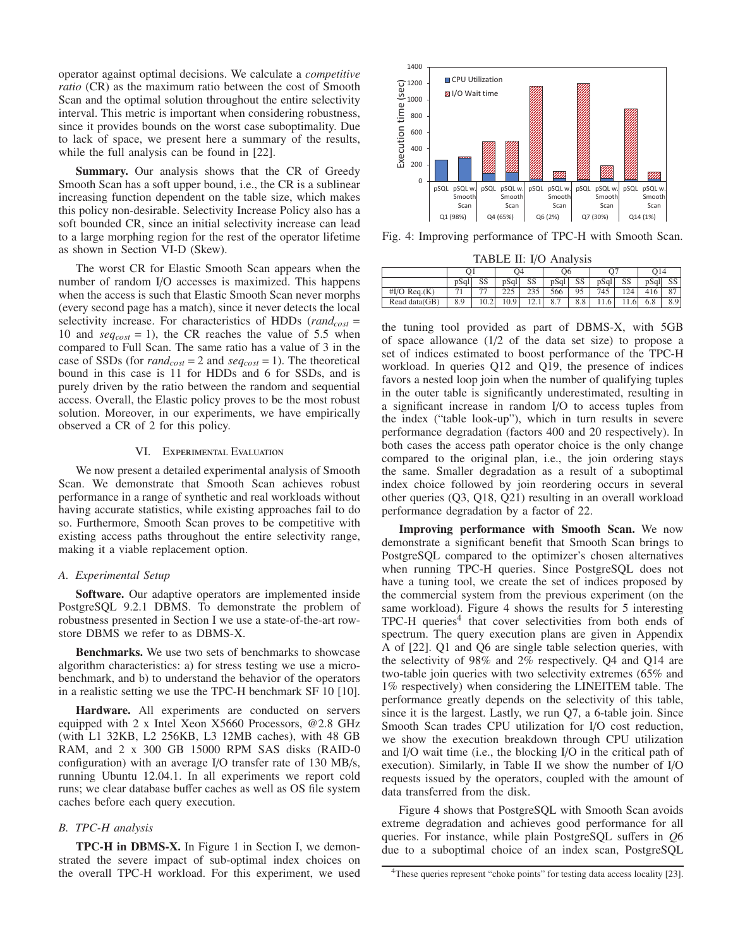operator against optimal decisions. We calculate a *competitive ratio* (CR) as the maximum ratio between the cost of Smooth Scan and the optimal solution throughout the entire selectivity interval. This metric is important when considering robustness, since it provides bounds on the worst case suboptimality. Due to lack of space, we present here a summary of the results, while the full analysis can be found in [22].

Summary. Our analysis shows that the CR of Greedy Smooth Scan has a soft upper bound, i.e., the CR is a sublinear increasing function dependent on the table size, which makes this policy non-desirable. Selectivity Increase Policy also has a soft bounded CR, since an initial selectivity increase can lead to a large morphing region for the rest of the operator lifetime as shown in Section VI-D (Skew).

The worst CR for Elastic Smooth Scan appears when the number of random I/O accesses is maximized. This happens when the access is such that Elastic Smooth Scan never morphs (every second page has a match), since it never detects the local selectivity increase. For characteristics of HDDs  $(rand_{cost} =$ 10 and  $seq_{cost} = 1$ ), the CR reaches the value of 5.5 when compared to Full Scan. The same ratio has a value of 3 in the case of SSDs (for  $rand_{cost} = 2$  and  $seq_{cost} = 1$ ). The theoretical bound in this case is 11 for HDDs and 6 for SSDs, and is purely driven by the ratio between the random and sequential access. Overall, the Elastic policy proves to be the most robust solution. Moreover, in our experiments, we have empirically observed a CR of 2 for this policy.

#### VI. Experimental Evaluation

We now present a detailed experimental analysis of Smooth Scan. We demonstrate that Smooth Scan achieves robust performance in a range of synthetic and real workloads without having accurate statistics, while existing approaches fail to do so. Furthermore, Smooth Scan proves to be competitive with existing access paths throughout the entire selectivity range, making it a viable replacement option.

#### *A. Experimental Setup*

Software. Our adaptive operators are implemented inside PostgreSQL 9.2.1 DBMS. To demonstrate the problem of robustness presented in Section I we use a state-of-the-art rowstore DBMS we refer to as DBMS-X.

Benchmarks. We use two sets of benchmarks to showcase algorithm characteristics: a) for stress testing we use a microbenchmark, and b) to understand the behavior of the operators in a realistic setting we use the TPC-H benchmark SF 10 [10].

Hardware. All experiments are conducted on servers equipped with 2 x Intel Xeon X5660 Processors, @2.8 GHz (with L1 32KB, L2 256KB, L3 12MB caches), with 48 GB RAM, and 2 x 300 GB 15000 RPM SAS disks (RAID-0 configuration) with an average I/O transfer rate of 130 MB/s, running Ubuntu 12.04.1. In all experiments we report cold runs; we clear database buffer caches as well as OS file system caches before each query execution.

# *B. TPC-H analysis*

TPC-H in DBMS-X. In Figure 1 in Section I, we demonstrated the severe impact of sub-optimal index choices on the overall TPC-H workload. For this experiment, we used



Fig. 4: Improving performance of TPC-H with Smooth Scan.

TABLE II: I/O Analysis

|               |      |      | O4   |     | O6   |     |      |     | O14  |     |
|---------------|------|------|------|-----|------|-----|------|-----|------|-----|
|               | pSql | SS   | pSal | SS  | pSq1 | SS  | pSal | SS  | pSq1 | SS  |
| $H/O$ Req.(K) |      |      |      | 235 | 566  | 95  | 745  | 124 | 416  | 87  |
| Read data(GB) | 8.9  | 10.2 | 10.9 | 12  | 8.7  | 8.8 |      | 1.6 | 6.8  | 8.9 |

the tuning tool provided as part of DBMS-X, with 5GB of space allowance (1/2 of the data set size) to propose a set of indices estimated to boost performance of the TPC-H workload. In queries Q12 and Q19, the presence of indices favors a nested loop join when the number of qualifying tuples in the outer table is significantly underestimated, resulting in a significant increase in random I/O to access tuples from the index ("table look-up"), which in turn results in severe performance degradation (factors 400 and 20 respectively). In both cases the access path operator choice is the only change compared to the original plan, i.e., the join ordering stays the same. Smaller degradation as a result of a suboptimal index choice followed by join reordering occurs in several other queries (Q3, Q18, Q21) resulting in an overall workload performance degradation by a factor of 22.

Improving performance with Smooth Scan. We now demonstrate a significant benefit that Smooth Scan brings to PostgreSQL compared to the optimizer's chosen alternatives when running TPC-H queries. Since PostgreSQL does not have a tuning tool, we create the set of indices proposed by the commercial system from the previous experiment (on the same workload). Figure 4 shows the results for 5 interesting TPC-H queries<sup>4</sup> that cover selectivities from both ends of spectrum. The query execution plans are given in Appendix A of [22]. Q1 and Q6 are single table selection queries, with the selectivity of 98% and 2% respectively. Q4 and Q14 are two-table join queries with two selectivity extremes (65% and 1% respectively) when considering the LINEITEM table. The performance greatly depends on the selectivity of this table, since it is the largest. Lastly, we run Q7, a 6-table join. Since Smooth Scan trades CPU utilization for I/O cost reduction, we show the execution breakdown through CPU utilization and I/O wait time (i.e., the blocking I/O in the critical path of execution). Similarly, in Table II we show the number of I/O requests issued by the operators, coupled with the amount of data transferred from the disk.

Figure 4 shows that PostgreSQL with Smooth Scan avoids extreme degradation and achieves good performance for all queries. For instance, while plain PostgreSQL suffers in *Q*6 due to a suboptimal choice of an index scan, PostgreSQL

<sup>&</sup>lt;sup>4</sup>These queries represent "choke points" for testing data access locality [23].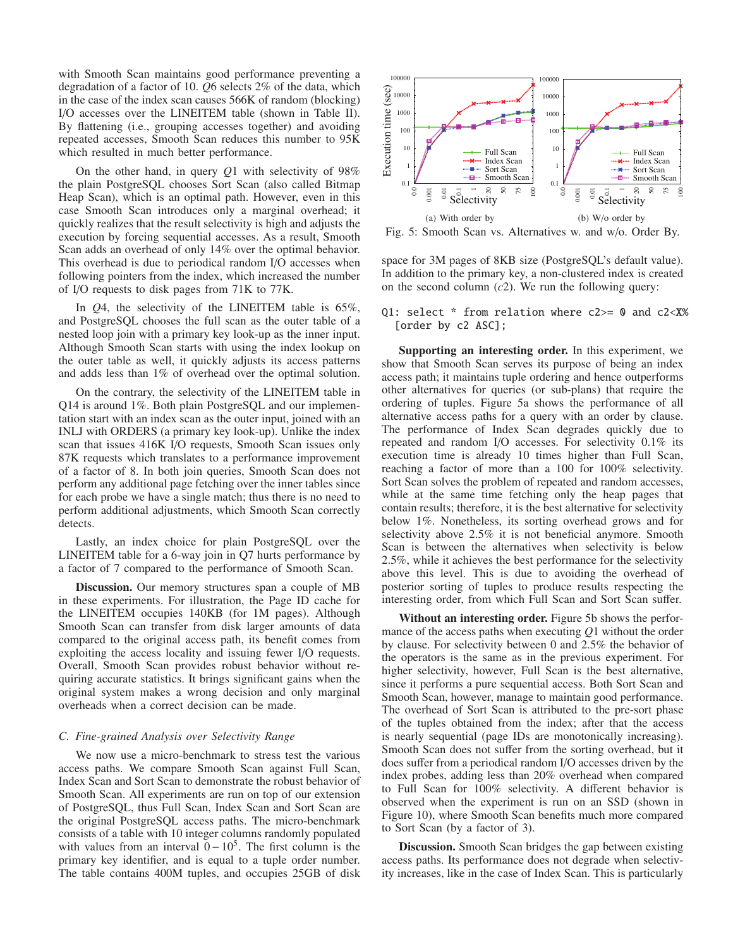with Smooth Scan maintains good performance preventing a degradation of a factor of 10. *Q*6 selects 2% of the data, which in the case of the index scan causes 566K of random (blocking) I/O accesses over the LINEITEM table (shown in Table II). By flattening (i.e., grouping accesses together) and avoiding repeated accesses, Smooth Scan reduces this number to 95K which resulted in much better performance.

On the other hand, in query *Q*1 with selectivity of 98% the plain PostgreSQL chooses Sort Scan (also called Bitmap Heap Scan), which is an optimal path. However, even in this case Smooth Scan introduces only a marginal overhead; it quickly realizes that the result selectivity is high and adjusts the execution by forcing sequential accesses. As a result, Smooth Scan adds an overhead of only 14% over the optimal behavior. This overhead is due to periodical random I/O accesses when following pointers from the index, which increased the number of I/O requests to disk pages from 71K to 77K.

In *Q*4, the selectivity of the LINEITEM table is 65%, and PostgreSQL chooses the full scan as the outer table of a nested loop join with a primary key look-up as the inner input. Although Smooth Scan starts with using the index lookup on the outer table as well, it quickly adjusts its access patterns and adds less than 1% of overhead over the optimal solution.

On the contrary, the selectivity of the LINEITEM table in Q14 is around 1%. Both plain PostgreSQL and our implementation start with an index scan as the outer input, joined with an INLJ with ORDERS (a primary key look-up). Unlike the index scan that issues 416K I/O requests, Smooth Scan issues only 87K requests which translates to a performance improvement of a factor of 8. In both join queries, Smooth Scan does not perform any additional page fetching over the inner tables since for each probe we have a single match; thus there is no need to perform additional adjustments, which Smooth Scan correctly detects.

Lastly, an index choice for plain PostgreSQL over the LINEITEM table for a 6-way join in Q7 hurts performance by a factor of 7 compared to the performance of Smooth Scan.

Discussion. Our memory structures span a couple of MB in these experiments. For illustration, the Page ID cache for the LINEITEM occupies 140KB (for 1M pages). Although Smooth Scan can transfer from disk larger amounts of data compared to the original access path, its benefit comes from exploiting the access locality and issuing fewer I/O requests. Overall, Smooth Scan provides robust behavior without requiring accurate statistics. It brings significant gains when the original system makes a wrong decision and only marginal overheads when a correct decision can be made.

# *C. Fine-grained Analysis over Selectivity Range*

We now use a micro-benchmark to stress test the various access paths. We compare Smooth Scan against Full Scan, Index Scan and Sort Scan to demonstrate the robust behavior of Smooth Scan. All experiments are run on top of our extension of PostgreSQL, thus Full Scan, Index Scan and Sort Scan are the original PostgreSQL access paths. The micro-benchmark consists of a table with 10 integer columns randomly populated with values from an interval  $0-10^5$ . The first column is the primary key identifier, and is equal to a tuple order number. The table contains 400M tuples, and occupies 25GB of disk



Fig. 5: Smooth Scan vs. Alternatives w. and w/o. Order By.

space for 3M pages of 8KB size (PostgreSQL's default value). In addition to the primary key, a non-clustered index is created on the second column (*c*2). We run the following query:

Q1: select \* from relation where c2>= 0 and c2<X% [order by c2 ASC];

Supporting an interesting order. In this experiment, we show that Smooth Scan serves its purpose of being an index access path; it maintains tuple ordering and hence outperforms other alternatives for queries (or sub-plans) that require the ordering of tuples. Figure 5a shows the performance of all alternative access paths for a query with an order by clause. The performance of Index Scan degrades quickly due to repeated and random I/O accesses. For selectivity 0.1% its execution time is already 10 times higher than Full Scan, reaching a factor of more than a 100 for 100% selectivity. Sort Scan solves the problem of repeated and random accesses, while at the same time fetching only the heap pages that contain results; therefore, it is the best alternative for selectivity below 1%. Nonetheless, its sorting overhead grows and for selectivity above 2.5% it is not beneficial anymore. Smooth Scan is between the alternatives when selectivity is below 2.5%, while it achieves the best performance for the selectivity above this level. This is due to avoiding the overhead of posterior sorting of tuples to produce results respecting the interesting order, from which Full Scan and Sort Scan suffer.

Without an interesting order. Figure 5b shows the performance of the access paths when executing *Q*1 without the order by clause. For selectivity between 0 and 2.5% the behavior of the operators is the same as in the previous experiment. For higher selectivity, however, Full Scan is the best alternative, since it performs a pure sequential access. Both Sort Scan and Smooth Scan, however, manage to maintain good performance. The overhead of Sort Scan is attributed to the pre-sort phase of the tuples obtained from the index; after that the access is nearly sequential (page IDs are monotonically increasing). Smooth Scan does not suffer from the sorting overhead, but it does suffer from a periodical random I/O accesses driven by the index probes, adding less than 20% overhead when compared to Full Scan for 100% selectivity. A different behavior is observed when the experiment is run on an SSD (shown in Figure 10), where Smooth Scan benefits much more compared to Sort Scan (by a factor of 3).

Discussion. Smooth Scan bridges the gap between existing access paths. Its performance does not degrade when selectivity increases, like in the case of Index Scan. This is particularly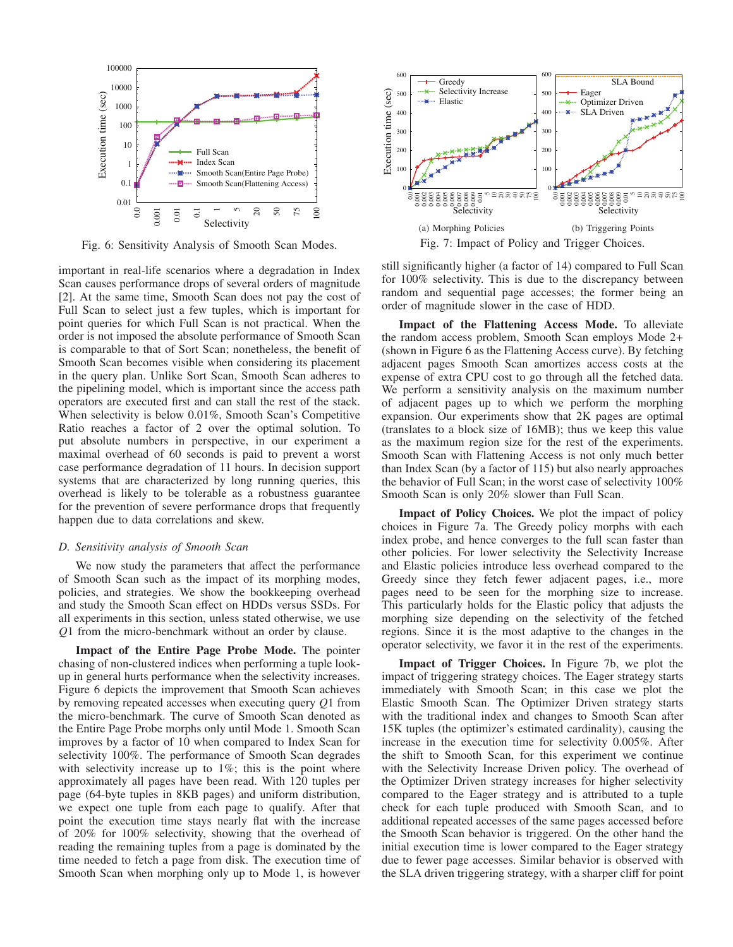

Fig. 6: Sensitivity Analysis of Smooth Scan Modes.

important in real-life scenarios where a degradation in Index Scan causes performance drops of several orders of magnitude [2]. At the same time, Smooth Scan does not pay the cost of Full Scan to select just a few tuples, which is important for point queries for which Full Scan is not practical. When the order is not imposed the absolute performance of Smooth Scan is comparable to that of Sort Scan; nonetheless, the benefit of Smooth Scan becomes visible when considering its placement in the query plan. Unlike Sort Scan, Smooth Scan adheres to the pipelining model, which is important since the access path operators are executed first and can stall the rest of the stack. When selectivity is below 0.01%, Smooth Scan's Competitive Ratio reaches a factor of 2 over the optimal solution. To put absolute numbers in perspective, in our experiment a maximal overhead of 60 seconds is paid to prevent a worst case performance degradation of 11 hours. In decision support systems that are characterized by long running queries, this overhead is likely to be tolerable as a robustness guarantee for the prevention of severe performance drops that frequently happen due to data correlations and skew.

# *D. Sensitivity analysis of Smooth Scan*

We now study the parameters that affect the performance of Smooth Scan such as the impact of its morphing modes, policies, and strategies. We show the bookkeeping overhead and study the Smooth Scan effect on HDDs versus SSDs. For all experiments in this section, unless stated otherwise, we use *Q*1 from the micro-benchmark without an order by clause.

Impact of the Entire Page Probe Mode. The pointer chasing of non-clustered indices when performing a tuple lookup in general hurts performance when the selectivity increases. Figure 6 depicts the improvement that Smooth Scan achieves by removing repeated accesses when executing query *Q*1 from the micro-benchmark. The curve of Smooth Scan denoted as the Entire Page Probe morphs only until Mode 1. Smooth Scan improves by a factor of 10 when compared to Index Scan for selectivity 100%. The performance of Smooth Scan degrades with selectivity increase up to 1%; this is the point where approximately all pages have been read. With 120 tuples per page (64-byte tuples in 8KB pages) and uniform distribution, we expect one tuple from each page to qualify. After that point the execution time stays nearly flat with the increase of 20% for 100% selectivity, showing that the overhead of reading the remaining tuples from a page is dominated by the time needed to fetch a page from disk. The execution time of Smooth Scan when morphing only up to Mode 1, is however



Fig. 7: Impact of Policy and Trigger Choices.

still significantly higher (a factor of 14) compared to Full Scan for 100% selectivity. This is due to the discrepancy between random and sequential page accesses; the former being an order of magnitude slower in the case of HDD.

Impact of the Flattening Access Mode. To alleviate the random access problem, Smooth Scan employs Mode 2+ (shown in Figure 6 as the Flattening Access curve). By fetching adjacent pages Smooth Scan amortizes access costs at the expense of extra CPU cost to go through all the fetched data. We perform a sensitivity analysis on the maximum number of adjacent pages up to which we perform the morphing expansion. Our experiments show that 2K pages are optimal (translates to a block size of 16MB); thus we keep this value as the maximum region size for the rest of the experiments. Smooth Scan with Flattening Access is not only much better than Index Scan (by a factor of 115) but also nearly approaches the behavior of Full Scan; in the worst case of selectivity 100% Smooth Scan is only 20% slower than Full Scan.

Impact of Policy Choices. We plot the impact of policy choices in Figure 7a. The Greedy policy morphs with each index probe, and hence converges to the full scan faster than other policies. For lower selectivity the Selectivity Increase and Elastic policies introduce less overhead compared to the Greedy since they fetch fewer adjacent pages, i.e., more pages need to be seen for the morphing size to increase. This particularly holds for the Elastic policy that adjusts the morphing size depending on the selectivity of the fetched regions. Since it is the most adaptive to the changes in the operator selectivity, we favor it in the rest of the experiments.

Impact of Trigger Choices. In Figure 7b, we plot the impact of triggering strategy choices. The Eager strategy starts immediately with Smooth Scan; in this case we plot the Elastic Smooth Scan. The Optimizer Driven strategy starts with the traditional index and changes to Smooth Scan after 15K tuples (the optimizer's estimated cardinality), causing the increase in the execution time for selectivity 0.005%. After the shift to Smooth Scan, for this experiment we continue with the Selectivity Increase Driven policy. The overhead of the Optimizer Driven strategy increases for higher selectivity compared to the Eager strategy and is attributed to a tuple check for each tuple produced with Smooth Scan, and to additional repeated accesses of the same pages accessed before the Smooth Scan behavior is triggered. On the other hand the initial execution time is lower compared to the Eager strategy due to fewer page accesses. Similar behavior is observed with the SLA driven triggering strategy, with a sharper cliff for point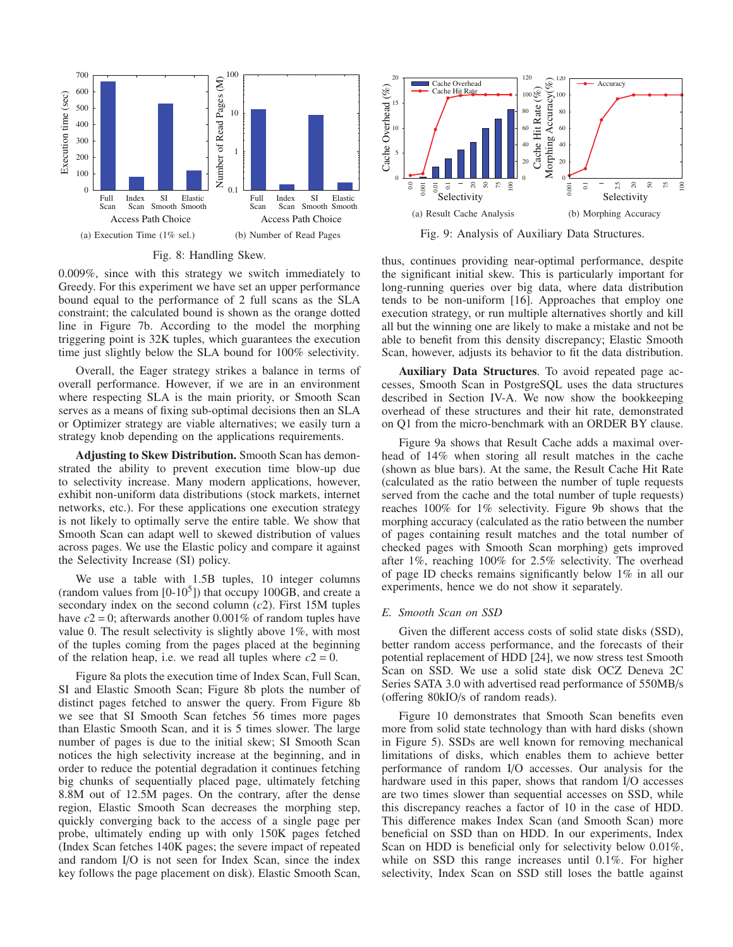

Fig. 8: Handling Skew.

0.009%, since with this strategy we switch immediately to Greedy. For this experiment we have set an upper performance bound equal to the performance of 2 full scans as the SLA constraint; the calculated bound is shown as the orange dotted line in Figure 7b. According to the model the morphing triggering point is 32K tuples, which guarantees the execution time just slightly below the SLA bound for 100% selectivity.

Overall, the Eager strategy strikes a balance in terms of overall performance. However, if we are in an environment where respecting SLA is the main priority, or Smooth Scan serves as a means of fixing sub-optimal decisions then an SLA or Optimizer strategy are viable alternatives; we easily turn a strategy knob depending on the applications requirements.

Adjusting to Skew Distribution. Smooth Scan has demonstrated the ability to prevent execution time blow-up due to selectivity increase. Many modern applications, however, exhibit non-uniform data distributions (stock markets, internet networks, etc.). For these applications one execution strategy is not likely to optimally serve the entire table. We show that Smooth Scan can adapt well to skewed distribution of values across pages. We use the Elastic policy and compare it against the Selectivity Increase (SI) policy.

We use a table with 1.5B tuples, 10 integer columns (random values from  $[0-10^5]$ ) that occupy 100GB, and create a secondary index on the second column (*c*2). First 15M tuples have  $c2 = 0$ ; afterwards another 0.001% of random tuples have value 0. The result selectivity is slightly above 1%, with most of the tuples coming from the pages placed at the beginning of the relation heap, i.e. we read all tuples where  $c2 = 0$ .

Figure 8a plots the execution time of Index Scan, Full Scan, SI and Elastic Smooth Scan; Figure 8b plots the number of distinct pages fetched to answer the query. From Figure 8b we see that SI Smooth Scan fetches 56 times more pages than Elastic Smooth Scan, and it is 5 times slower. The large number of pages is due to the initial skew; SI Smooth Scan notices the high selectivity increase at the beginning, and in order to reduce the potential degradation it continues fetching big chunks of sequentially placed page, ultimately fetching 8.8M out of 12.5M pages. On the contrary, after the dense region, Elastic Smooth Scan decreases the morphing step, quickly converging back to the access of a single page per probe, ultimately ending up with only 150K pages fetched (Index Scan fetches 140K pages; the severe impact of repeated and random I/O is not seen for Index Scan, since the index key follows the page placement on disk). Elastic Smooth Scan,



thus, continues providing near-optimal performance, despite the significant initial skew. This is particularly important for long-running queries over big data, where data distribution tends to be non-uniform [16]. Approaches that employ one execution strategy, or run multiple alternatives shortly and kill all but the winning one are likely to make a mistake and not be able to benefit from this density discrepancy; Elastic Smooth Scan, however, adjusts its behavior to fit the data distribution.

Auxiliary Data Structures. To avoid repeated page accesses, Smooth Scan in PostgreSQL uses the data structures described in Section IV-A. We now show the bookkeeping overhead of these structures and their hit rate, demonstrated on Q1 from the micro-benchmark with an ORDER BY clause.

Figure 9a shows that Result Cache adds a maximal overhead of 14% when storing all result matches in the cache (shown as blue bars). At the same, the Result Cache Hit Rate (calculated as the ratio between the number of tuple requests served from the cache and the total number of tuple requests) reaches 100% for 1% selectivity. Figure 9b shows that the morphing accuracy (calculated as the ratio between the number of pages containing result matches and the total number of checked pages with Smooth Scan morphing) gets improved after 1%, reaching 100% for 2.5% selectivity. The overhead of page ID checks remains significantly below 1% in all our experiments, hence we do not show it separately.

# *E. Smooth Scan on SSD*

Given the different access costs of solid state disks (SSD), better random access performance, and the forecasts of their potential replacement of HDD [24], we now stress test Smooth Scan on SSD. We use a solid state disk OCZ Deneva 2C Series SATA 3.0 with advertised read performance of 550MB/s (offering 80kIO/s of random reads).

Figure 10 demonstrates that Smooth Scan benefits even more from solid state technology than with hard disks (shown in Figure 5). SSDs are well known for removing mechanical limitations of disks, which enables them to achieve better performance of random I/O accesses. Our analysis for the hardware used in this paper, shows that random I/O accesses are two times slower than sequential accesses on SSD, while this discrepancy reaches a factor of 10 in the case of HDD. This difference makes Index Scan (and Smooth Scan) more beneficial on SSD than on HDD. In our experiments, Index Scan on HDD is beneficial only for selectivity below 0.01%, while on SSD this range increases until 0.1%. For higher selectivity, Index Scan on SSD still loses the battle against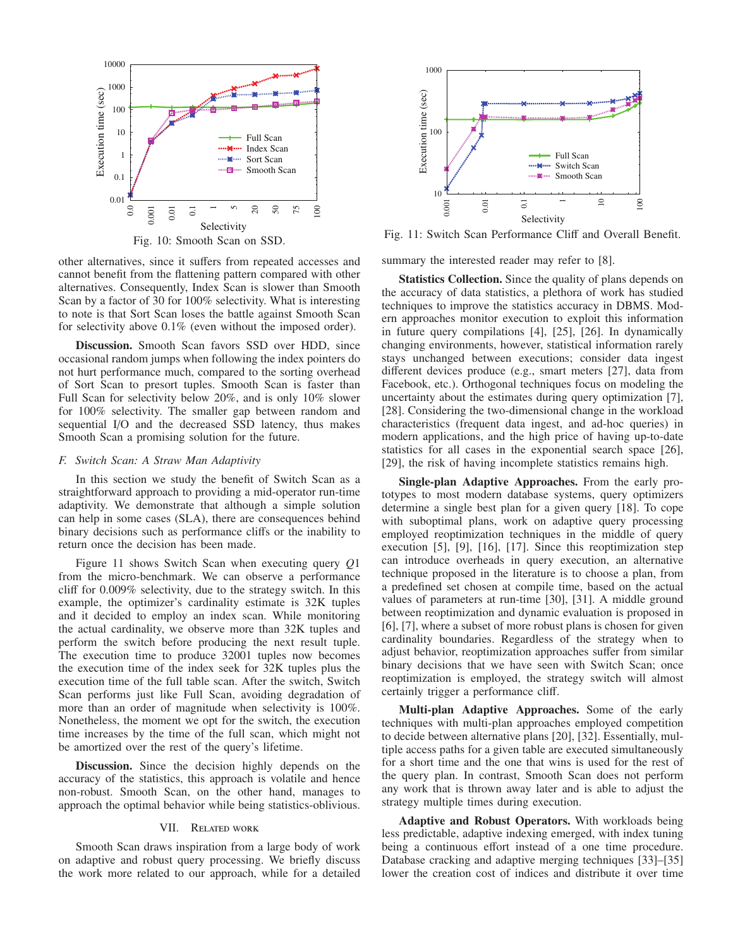

other alternatives, since it suffers from repeated accesses and cannot benefit from the flattening pattern compared with other alternatives. Consequently, Index Scan is slower than Smooth Scan by a factor of 30 for 100% selectivity. What is interesting to note is that Sort Scan loses the battle against Smooth Scan for selectivity above 0.1% (even without the imposed order).

Discussion. Smooth Scan favors SSD over HDD, since occasional random jumps when following the index pointers do not hurt performance much, compared to the sorting overhead of Sort Scan to presort tuples. Smooth Scan is faster than Full Scan for selectivity below 20%, and is only 10% slower for 100% selectivity. The smaller gap between random and sequential I/O and the decreased SSD latency, thus makes Smooth Scan a promising solution for the future.

#### *F. Switch Scan: A Straw Man Adaptivity*

In this section we study the benefit of Switch Scan as a straightforward approach to providing a mid-operator run-time adaptivity. We demonstrate that although a simple solution can help in some cases (SLA), there are consequences behind binary decisions such as performance cliffs or the inability to return once the decision has been made.

Figure 11 shows Switch Scan when executing query *Q*1 from the micro-benchmark. We can observe a performance cliff for 0.009% selectivity, due to the strategy switch. In this example, the optimizer's cardinality estimate is 32K tuples and it decided to employ an index scan. While monitoring the actual cardinality, we observe more than 32K tuples and perform the switch before producing the next result tuple. The execution time to produce 32001 tuples now becomes the execution time of the index seek for 32K tuples plus the execution time of the full table scan. After the switch, Switch Scan performs just like Full Scan, avoiding degradation of more than an order of magnitude when selectivity is 100%. Nonetheless, the moment we opt for the switch, the execution time increases by the time of the full scan, which might not be amortized over the rest of the query's lifetime.

Discussion. Since the decision highly depends on the accuracy of the statistics, this approach is volatile and hence non-robust. Smooth Scan, on the other hand, manages to approach the optimal behavior while being statistics-oblivious.

# VII. Related work

Smooth Scan draws inspiration from a large body of work on adaptive and robust query processing. We briefly discuss the work more related to our approach, while for a detailed



Fig. 11: Switch Scan Performance Cliff and Overall Benefit.

summary the interested reader may refer to [8].

Statistics Collection. Since the quality of plans depends on the accuracy of data statistics, a plethora of work has studied techniques to improve the statistics accuracy in DBMS. Modern approaches monitor execution to exploit this information in future query compilations [4], [25], [26]. In dynamically changing environments, however, statistical information rarely stays unchanged between executions; consider data ingest different devices produce (e.g., smart meters [27], data from Facebook, etc.). Orthogonal techniques focus on modeling the uncertainty about the estimates during query optimization [7], [28]. Considering the two-dimensional change in the workload characteristics (frequent data ingest, and ad-hoc queries) in modern applications, and the high price of having up-to-date statistics for all cases in the exponential search space [26], [29], the risk of having incomplete statistics remains high.

Single-plan Adaptive Approaches. From the early prototypes to most modern database systems, query optimizers determine a single best plan for a given query [18]. To cope with suboptimal plans, work on adaptive query processing employed reoptimization techniques in the middle of query execution [5], [9], [16], [17]. Since this reoptimization step can introduce overheads in query execution, an alternative technique proposed in the literature is to choose a plan, from a predefined set chosen at compile time, based on the actual values of parameters at run-time [30], [31]. A middle ground between reoptimization and dynamic evaluation is proposed in [6], [7], where a subset of more robust plans is chosen for given cardinality boundaries. Regardless of the strategy when to adjust behavior, reoptimization approaches suffer from similar binary decisions that we have seen with Switch Scan; once reoptimization is employed, the strategy switch will almost certainly trigger a performance cliff.

Multi-plan Adaptive Approaches. Some of the early techniques with multi-plan approaches employed competition to decide between alternative plans [20], [32]. Essentially, multiple access paths for a given table are executed simultaneously for a short time and the one that wins is used for the rest of the query plan. In contrast, Smooth Scan does not perform any work that is thrown away later and is able to adjust the strategy multiple times during execution.

Adaptive and Robust Operators. With workloads being less predictable, adaptive indexing emerged, with index tuning being a continuous effort instead of a one time procedure. Database cracking and adaptive merging techniques [33]–[35] lower the creation cost of indices and distribute it over time